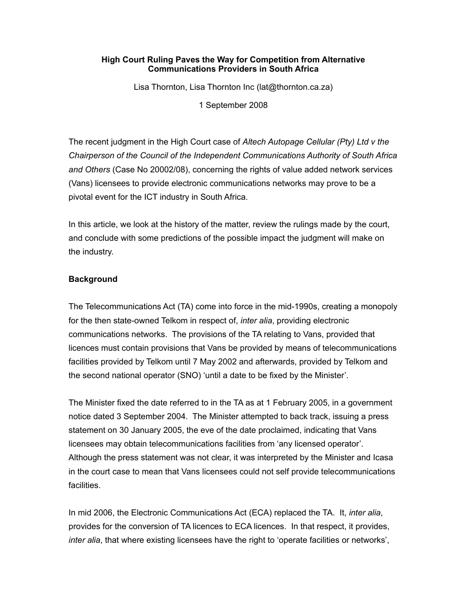### **High Court Ruling Paves the Way for Competition from Alternative Communications Providers in South Africa**

Lisa Thornton, Lisa Thornton Inc (lat@thornton.ca.za)

1 September 2008

The recent judgment in the High Court case of *Altech Autopage Cellular (Pty) Ltd v the Chairperson of the Council of the Independent Communications Authority of South Africa and Others* (Case No 20002/08), concerning the rights of value added network services (Vans) licensees to provide electronic communications networks may prove to be a pivotal event for the ICT industry in South Africa.

In this article, we look at the history of the matter, review the rulings made by the court, and conclude with some predictions of the possible impact the judgment will make on the industry.

# **Background**

The Telecommunications Act (TA) come into force in the mid-1990s, creating a monopoly for the then state-owned Telkom in respect of, *inter alia*, providing electronic communications networks. The provisions of the TA relating to Vans, provided that licences must contain provisions that Vans be provided by means of telecommunications facilities provided by Telkom until 7 May 2002 and afterwards, provided by Telkom and the second national operator (SNO) 'until a date to be fixed by the Minister'.

The Minister fixed the date referred to in the TA as at 1 February 2005, in a government notice dated 3 September 2004. The Minister attempted to back track, issuing a press statement on 30 January 2005, the eve of the date proclaimed, indicating that Vans licensees may obtain telecommunications facilities from 'any licensed operator'. Although the press statement was not clear, it was interpreted by the Minister and Icasa in the court case to mean that Vans licensees could not self provide telecommunications facilities.

In mid 2006, the Electronic Communications Act (ECA) replaced the TA. It, *inter alia*, provides for the conversion of TA licences to ECA licences. In that respect, it provides, *inter alia*, that where existing licensees have the right to 'operate facilities or networks',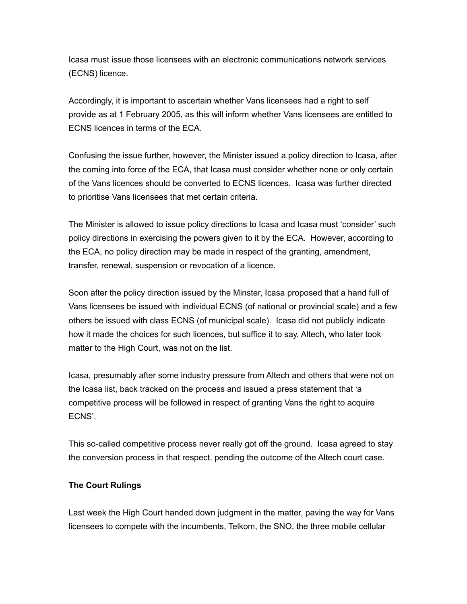Icasa must issue those licensees with an electronic communications network services (ECNS) licence.

Accordingly, it is important to ascertain whether Vans licensees had a right to self provide as at 1 February 2005, as this will inform whether Vans licensees are entitled to ECNS licences in terms of the ECA.

Confusing the issue further, however, the Minister issued a policy direction to Icasa, after the coming into force of the ECA, that Icasa must consider whether none or only certain of the Vans licences should be converted to ECNS licences. Icasa was further directed to prioritise Vans licensees that met certain criteria.

The Minister is allowed to issue policy directions to Icasa and Icasa must 'consider' such policy directions in exercising the powers given to it by the ECA. However, according to the ECA, no policy direction may be made in respect of the granting, amendment, transfer, renewal, suspension or revocation of a licence.

Soon after the policy direction issued by the Minster, Icasa proposed that a hand full of Vans licensees be issued with individual ECNS (of national or provincial scale) and a few others be issued with class ECNS (of municipal scale). Icasa did not publicly indicate how it made the choices for such licences, but suffice it to say, Altech, who later took matter to the High Court, was not on the list.

Icasa, presumably after some industry pressure from Altech and others that were not on the Icasa list, back tracked on the process and issued a press statement that 'a competitive process will be followed in respect of granting Vans the right to acquire ECNS'.

This so-called competitive process never really got off the ground. Icasa agreed to stay the conversion process in that respect, pending the outcome of the Altech court case.

# **The Court Rulings**

Last week the High Court handed down judgment in the matter, paving the way for Vans licensees to compete with the incumbents, Telkom, the SNO, the three mobile cellular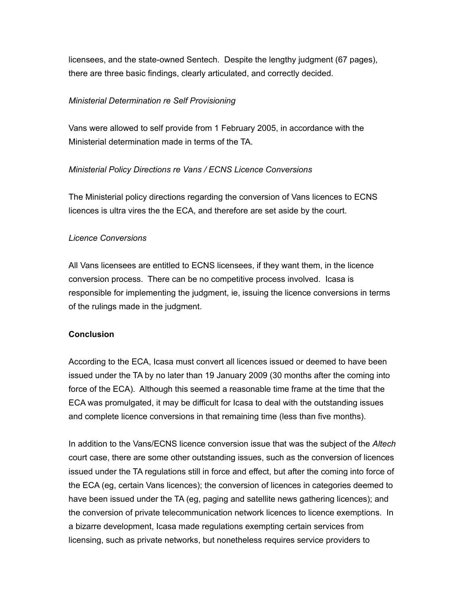licensees, and the state-owned Sentech. Despite the lengthy judgment (67 pages), there are three basic findings, clearly articulated, and correctly decided.

## *Ministerial Determination re Self Provisioning*

Vans were allowed to self provide from 1 February 2005, in accordance with the Ministerial determination made in terms of the TA.

# *Ministerial Policy Directions re Vans / ECNS Licence Conversions*

The Ministerial policy directions regarding the conversion of Vans licences to ECNS licences is ultra vires the the ECA, and therefore are set aside by the court.

# *Licence Conversions*

All Vans licensees are entitled to ECNS licensees, if they want them, in the licence conversion process. There can be no competitive process involved. Icasa is responsible for implementing the judgment, ie, issuing the licence conversions in terms of the rulings made in the judgment.

# **Conclusion**

According to the ECA, Icasa must convert all licences issued or deemed to have been issued under the TA by no later than 19 January 2009 (30 months after the coming into force of the ECA). Although this seemed a reasonable time frame at the time that the ECA was promulgated, it may be difficult for Icasa to deal with the outstanding issues and complete licence conversions in that remaining time (less than five months).

In addition to the Vans/ECNS licence conversion issue that was the subject of the *Altech* court case, there are some other outstanding issues, such as the conversion of licences issued under the TA regulations still in force and effect, but after the coming into force of the ECA (eg, certain Vans licences); the conversion of licences in categories deemed to have been issued under the TA (eg, paging and satellite news gathering licences); and the conversion of private telecommunication network licences to licence exemptions. In a bizarre development, Icasa made regulations exempting certain services from licensing, such as private networks, but nonetheless requires service providers to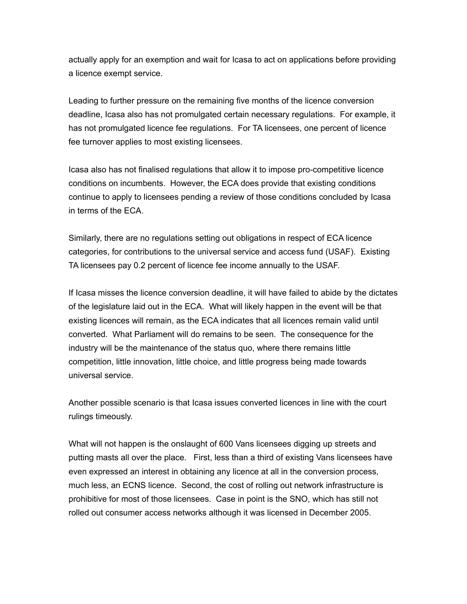actually apply for an exemption and wait for Icasa to act on applications before providing a licence exempt service.

Leading to further pressure on the remaining five months of the licence conversion deadline, Icasa also has not promulgated certain necessary regulations. For example, it has not promulgated licence fee regulations. For TA licensees, one percent of licence fee turnover applies to most existing licensees.

Icasa also has not finalised regulations that allow it to impose pro-competitive licence conditions on incumbents. However, the ECA does provide that existing conditions continue to apply to licensees pending a review of those conditions concluded by Icasa in terms of the ECA.

Similarly, there are no regulations setting out obligations in respect of ECA licence categories, for contributions to the universal service and access fund (USAF). Existing TA licensees pay 0.2 percent of licence fee income annually to the USAF.

If Icasa misses the licence conversion deadline, it will have failed to abide by the dictates of the legislature laid out in the ECA. What will likely happen in the event will be that existing licences will remain, as the ECA indicates that all licences remain valid until converted. What Parliament will do remains to be seen. The consequence for the industry will be the maintenance of the status quo, where there remains little competition, little innovation, little choice, and little progress being made towards universal service.

Another possible scenario is that Icasa issues converted licences in line with the court rulings timeously.

What will not happen is the onslaught of 600 Vans licensees digging up streets and putting masts all over the place. First, less than a third of existing Vans licensees have even expressed an interest in obtaining any licence at all in the conversion process, much less, an ECNS licence. Second, the cost of rolling out network infrastructure is prohibitive for most of those licensees. Case in point is the SNO, which has still not rolled out consumer access networks although it was licensed in December 2005.